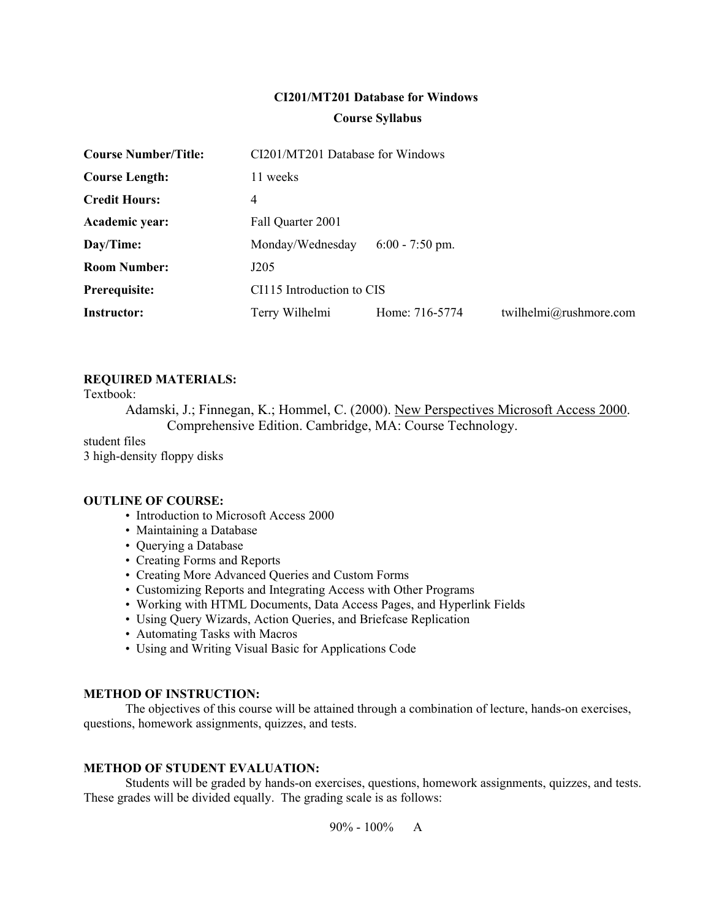# **CI201/MT201 Database for Windows Course Syllabus**

| <b>Course Number/Title:</b> | CI201/MT201 Database for Windows |                   |                        |  |
|-----------------------------|----------------------------------|-------------------|------------------------|--|
| <b>Course Length:</b>       | 11 weeks                         |                   |                        |  |
| <b>Credit Hours:</b>        | 4                                |                   |                        |  |
| Academic year:              | Fall Quarter 2001                |                   |                        |  |
| Day/Time:                   | Monday/Wednesday                 | $6:00 - 7:50$ pm. |                        |  |
| <b>Room Number:</b>         | J205                             |                   |                        |  |
| Prerequisite:               | CI115 Introduction to CIS        |                   |                        |  |
| <b>Instructor:</b>          | Terry Wilhelmi                   | Home: 716-5774    | twilhelmi@rushmore.com |  |

# **REQUIRED MATERIALS:**

Textbook:

Adamski, J.; Finnegan, K.; Hommel, C. (2000). New Perspectives Microsoft Access 2000. Comprehensive Edition. Cambridge, MA: Course Technology.

student files 3 high-density floppy disks

#### **OUTLINE OF COURSE:**

- Introduction to Microsoft Access 2000
- Maintaining a Database
- Querying a Database
- Creating Forms and Reports
- Creating More Advanced Queries and Custom Forms
- Customizing Reports and Integrating Access with Other Programs
- Working with HTML Documents, Data Access Pages, and Hyperlink Fields
- Using Query Wizards, Action Queries, and Briefcase Replication
- Automating Tasks with Macros
- Using and Writing Visual Basic for Applications Code

#### **METHOD OF INSTRUCTION:**

 The objectives of this course will be attained through a combination of lecture, hands-on exercises, questions, homework assignments, quizzes, and tests.

#### **METHOD OF STUDENT EVALUATION:**

 Students will be graded by hands-on exercises, questions, homework assignments, quizzes, and tests. These grades will be divided equally. The grading scale is as follows:

 $90\% - 100\%$  A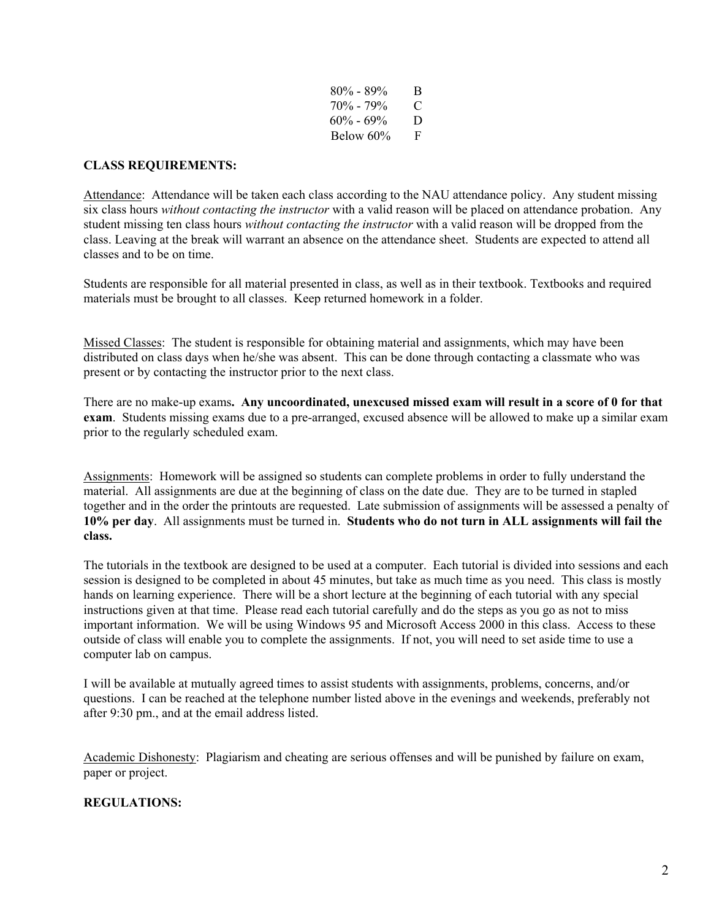| $80\% - 89\%$ | B |
|---------------|---|
| $70\% - 79\%$ | € |
| $60\% - 69\%$ | D |
| Below 60%     | F |

### **CLASS REQUIREMENTS:**

Attendance: Attendance will be taken each class according to the NAU attendance policy. Any student missing six class hours *without contacting the instructor* with a valid reason will be placed on attendance probation. Any student missing ten class hours *without contacting the instructor* with a valid reason will be dropped from the class. Leaving at the break will warrant an absence on the attendance sheet. Students are expected to attend all classes and to be on time.

Students are responsible for all material presented in class, as well as in their textbook. Textbooks and required materials must be brought to all classes. Keep returned homework in a folder.

Missed Classes: The student is responsible for obtaining material and assignments, which may have been distributed on class days when he/she was absent. This can be done through contacting a classmate who was present or by contacting the instructor prior to the next class.

There are no make-up exams**. Any uncoordinated, unexcused missed exam will result in a score of 0 for that exam**. Students missing exams due to a pre-arranged, excused absence will be allowed to make up a similar exam prior to the regularly scheduled exam.

Assignments: Homework will be assigned so students can complete problems in order to fully understand the material. All assignments are due at the beginning of class on the date due. They are to be turned in stapled together and in the order the printouts are requested. Late submission of assignments will be assessed a penalty of **10% per day**. All assignments must be turned in. **Students who do not turn in ALL assignments will fail the class.**

The tutorials in the textbook are designed to be used at a computer. Each tutorial is divided into sessions and each session is designed to be completed in about 45 minutes, but take as much time as you need. This class is mostly hands on learning experience. There will be a short lecture at the beginning of each tutorial with any special instructions given at that time. Please read each tutorial carefully and do the steps as you go as not to miss important information. We will be using Windows 95 and Microsoft Access 2000 in this class. Access to these outside of class will enable you to complete the assignments. If not, you will need to set aside time to use a computer lab on campus.

I will be available at mutually agreed times to assist students with assignments, problems, concerns, and/or questions. I can be reached at the telephone number listed above in the evenings and weekends, preferably not after 9:30 pm., and at the email address listed.

Academic Dishonesty: Plagiarism and cheating are serious offenses and will be punished by failure on exam, paper or project.

# **REGULATIONS:**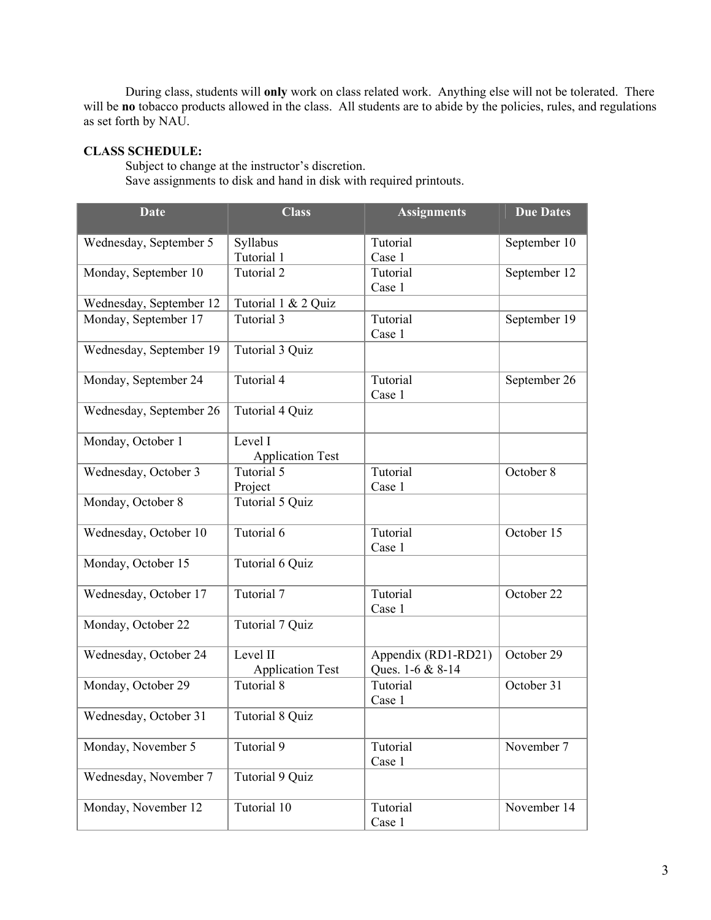During class, students will **only** work on class related work. Anything else will not be tolerated. There will be **no** tobacco products allowed in the class. All students are to abide by the policies, rules, and regulations as set forth by NAU.

### **CLASS SCHEDULE:**

 Subject to change at the instructor's discretion. Save assignments to disk and hand in disk with required printouts.

| <b>Date</b>             | <b>Class</b>                        | <b>Assignments</b>                      | <b>Due Dates</b> |
|-------------------------|-------------------------------------|-----------------------------------------|------------------|
| Wednesday, September 5  | Syllabus                            | Tutorial                                | September 10     |
|                         | Tutorial 1                          | Case 1                                  |                  |
| Monday, September 10    | Tutorial 2                          | Tutorial<br>Case 1                      | September 12     |
| Wednesday, September 12 | Tutorial 1 & 2 Quiz                 |                                         |                  |
| Monday, September 17    | Tutorial 3                          | Tutorial<br>Case 1                      | September 19     |
| Wednesday, September 19 | Tutorial 3 Quiz                     |                                         |                  |
| Monday, September 24    | Tutorial 4                          | Tutorial<br>Case 1                      | September 26     |
| Wednesday, September 26 | Tutorial 4 Quiz                     |                                         |                  |
| Monday, October 1       | Level I<br><b>Application Test</b>  |                                         |                  |
| Wednesday, October 3    | Tutorial 5<br>Project               | Tutorial<br>Case 1                      | October 8        |
| Monday, October 8       | Tutorial 5 Quiz                     |                                         |                  |
| Wednesday, October 10   | Tutorial 6                          | Tutorial<br>Case 1                      | October 15       |
| Monday, October 15      | Tutorial 6 Quiz                     |                                         |                  |
| Wednesday, October 17   | Tutorial 7                          | Tutorial<br>Case 1                      | October 22       |
| Monday, October 22      | Tutorial 7 Quiz                     |                                         |                  |
| Wednesday, October 24   | Level II<br><b>Application Test</b> | Appendix (RD1-RD21)<br>Ques. 1-6 & 8-14 | October 29       |
| Monday, October 29      | Tutorial 8                          | Tutorial<br>Case 1                      | October 31       |
| Wednesday, October 31   | <b>Tutorial 8 Quiz</b>              |                                         |                  |
| Monday, November 5      | Tutorial 9                          | Tutorial<br>Case 1                      | November 7       |
| Wednesday, November 7   | Tutorial 9 Quiz                     |                                         |                  |
| Monday, November 12     | Tutorial 10                         | Tutorial<br>Case 1                      | November 14      |